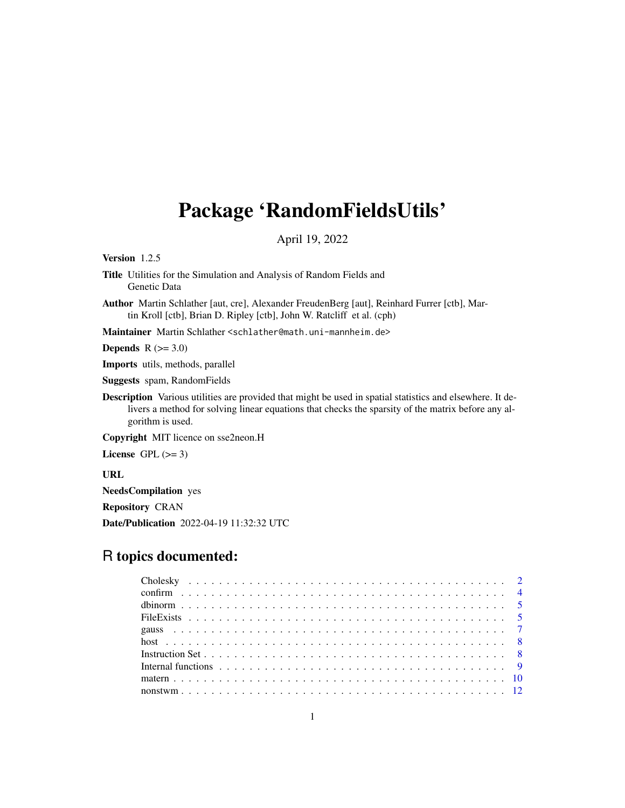# <span id="page-0-0"></span>Package 'RandomFieldsUtils'

April 19, 2022

Version 1.2.5

- Title Utilities for the Simulation and Analysis of Random Fields and Genetic Data
- Author Martin Schlather [aut, cre], Alexander FreudenBerg [aut], Reinhard Furrer [ctb], Martin Kroll [ctb], Brian D. Ripley [ctb], John W. Ratcliff et al. (cph)

Maintainer Martin Schlather <schlather@math.uni-mannheim.de>

**Depends**  $R$  ( $>= 3.0$ )

Imports utils, methods, parallel

Suggests spam, RandomFields

Description Various utilities are provided that might be used in spatial statistics and elsewhere. It delivers a method for solving linear equations that checks the sparsity of the matrix before any algorithm is used.

Copyright MIT licence on sse2neon.H

License GPL  $(>= 3)$ 

URL

NeedsCompilation yes

Repository CRAN

Date/Publication 2022-04-19 11:32:32 UTC

# R topics documented: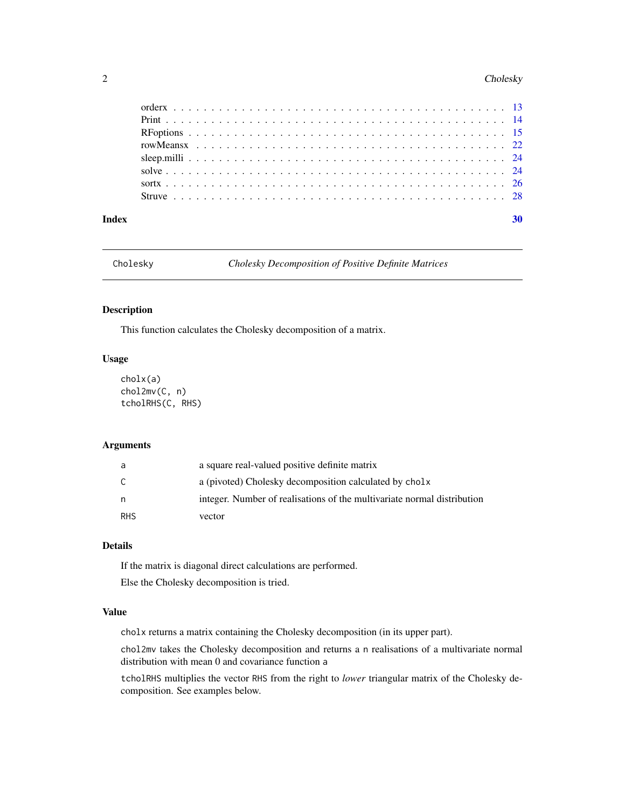#### <span id="page-1-0"></span>2 Cholesky

| Index |  |  |  |  |  |  |  |  |  |  |  |  |  |  |  |  |  |  |  | 30 |
|-------|--|--|--|--|--|--|--|--|--|--|--|--|--|--|--|--|--|--|--|----|
|       |  |  |  |  |  |  |  |  |  |  |  |  |  |  |  |  |  |  |  |    |
|       |  |  |  |  |  |  |  |  |  |  |  |  |  |  |  |  |  |  |  |    |
|       |  |  |  |  |  |  |  |  |  |  |  |  |  |  |  |  |  |  |  |    |
|       |  |  |  |  |  |  |  |  |  |  |  |  |  |  |  |  |  |  |  |    |
|       |  |  |  |  |  |  |  |  |  |  |  |  |  |  |  |  |  |  |  |    |
|       |  |  |  |  |  |  |  |  |  |  |  |  |  |  |  |  |  |  |  |    |
|       |  |  |  |  |  |  |  |  |  |  |  |  |  |  |  |  |  |  |  |    |
|       |  |  |  |  |  |  |  |  |  |  |  |  |  |  |  |  |  |  |  |    |

Cholesky *Cholesky Decomposition of Positive Definite Matrices*

# <span id="page-1-1"></span>Description

This function calculates the Cholesky decomposition of a matrix.

# Usage

```
cholx(a)
chol2mv(C, n)
tcholRHS(C, RHS)
```
# Arguments

| a          | a square real-valued positive definite matrix                           |
|------------|-------------------------------------------------------------------------|
| C          | a (pivoted) Cholesky decomposition calculated by cholx                  |
| n          | integer. Number of realisations of the multivariate normal distribution |
| <b>RHS</b> | vector                                                                  |

# Details

If the matrix is diagonal direct calculations are performed.

Else the Cholesky decomposition is tried.

# Value

cholx returns a matrix containing the Cholesky decomposition (in its upper part).

chol2mv takes the Cholesky decomposition and returns a n realisations of a multivariate normal distribution with mean 0 and covariance function a

tcholRHS multiplies the vector RHS from the right to *lower* triangular matrix of the Cholesky decomposition. See examples below.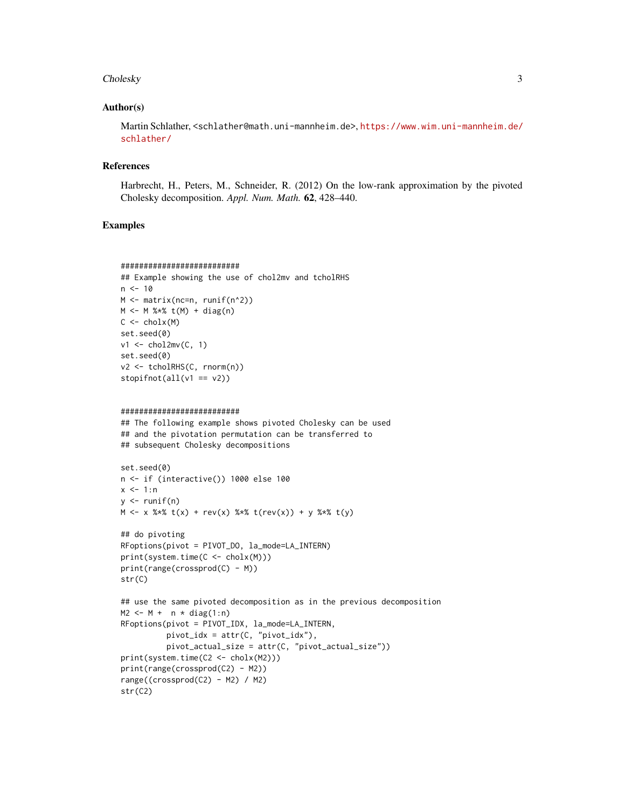#### Cholesky 3

## Author(s)

Martin Schlather, <schlather@math.uni-mannheim.de>, [https://www.wim.uni-mannheim.de/](https://www.wim.uni-mannheim.de/schlather/) [schlather/](https://www.wim.uni-mannheim.de/schlather/)

#### References

Harbrecht, H., Peters, M., Schneider, R. (2012) On the low-rank approximation by the pivoted Cholesky decomposition. *Appl. Num. Math.* 62, 428–440.

### Examples

```
##########################
## Example showing the use of chol2mv and tcholRHS
n < -10M <- matrix(nc=n, runif(n^2))
M < - M %*% t(M) + diag(n)
C \leftarrow \text{cholx}(M)set.seed(0)
v1 \le - chol2mv(C, 1)
set.seed(0)
v2 <- tcholRHS(C, rnorm(n))
stopifnot(all(v1 == v2))
```

```
##########################
```
## The following example shows pivoted Cholesky can be used ## and the pivotation permutation can be transferred to ## subsequent Cholesky decompositions

```
set.seed(0)
n <- if (interactive()) 1000 else 100
x < -1:ny \leftarrow runif(n)M \le -x %*% t(x) + rev(x) %*% t(rev(x)) + y %*% t(y)
```

```
## do pivoting
RFoptions(pivot = PIVOT_DO, la_mode=LA_INTERN)
print(system.time(C <- cholx(M)))
print(range(crossprod(C) - M))
str(C)
```

```
## use the same pivoted decomposition as in the previous decomposition
M2 \leq -M + n \times diag(1:n)RFoptions(pivot = PIVOT_IDX, la_mode=LA_INTERN,
          pivot\_idx = attr(C, "pivot\_idx"),pivot_actual_size = attr(C, "pivot_actual_size"))
print(system.time(C2 <- cholx(M2)))
print(range(crossprod(C2) - M2))
range((crossprod(C2) - M2) / M2)
str(C2)
```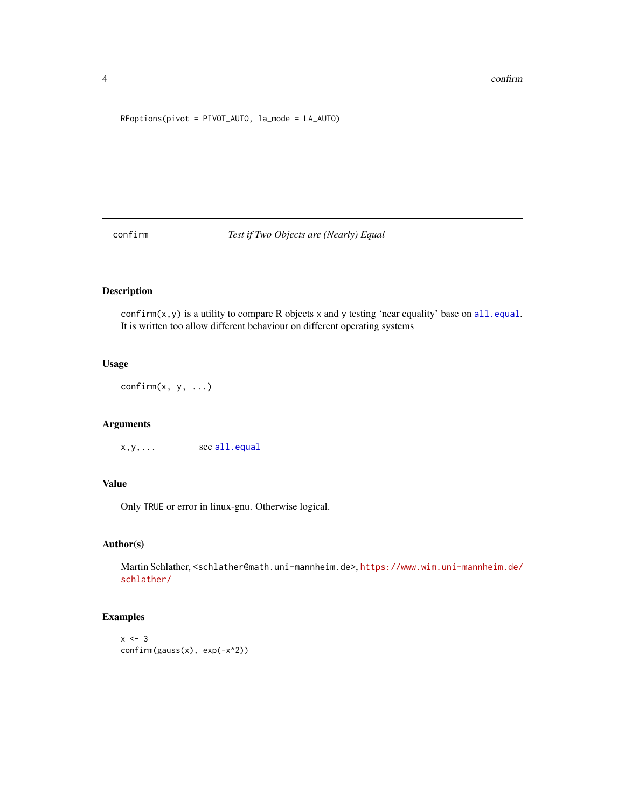#### <span id="page-3-0"></span>4 confirm  $\sim$  24 confirm  $\sim$  25 confirm  $\sim$  26 confirm  $\sim$  26 confirm  $\sim$  26 confirm  $\sim$  26 confirm  $\sim$  26 confirm  $\sim$  26 confirm  $\sim$  26 confirm  $\sim$  26 confirm  $\sim$  26 confirm  $\sim$  26 confirm  $\sim$  26 confirm  $\sim$

#### RFoptions(pivot = PIVOT\_AUTO, la\_mode = LA\_AUTO)

confirm *Test if Two Objects are (Nearly) Equal*

# Description

confirm(x, y) is a utility to compare R objects x and y testing 'near equality' base on [all.equal](#page-0-0). It is written too allow different behaviour on different operating systems

# Usage

 $confirm(x, y, ...)$ 

# Arguments

 $x, y, \ldots$  see [all.equal](#page-0-0)

# Value

Only TRUE or error in linux-gnu. Otherwise logical.

# Author(s)

Martin Schlather, <schlather@math.uni-mannheim.de>, [https://www.wim.uni-mannheim.de/](https://www.wim.uni-mannheim.de/schlather/) [schlather/](https://www.wim.uni-mannheim.de/schlather/)

```
x \le -3confirm(gauss(x), exp(-x^2))
```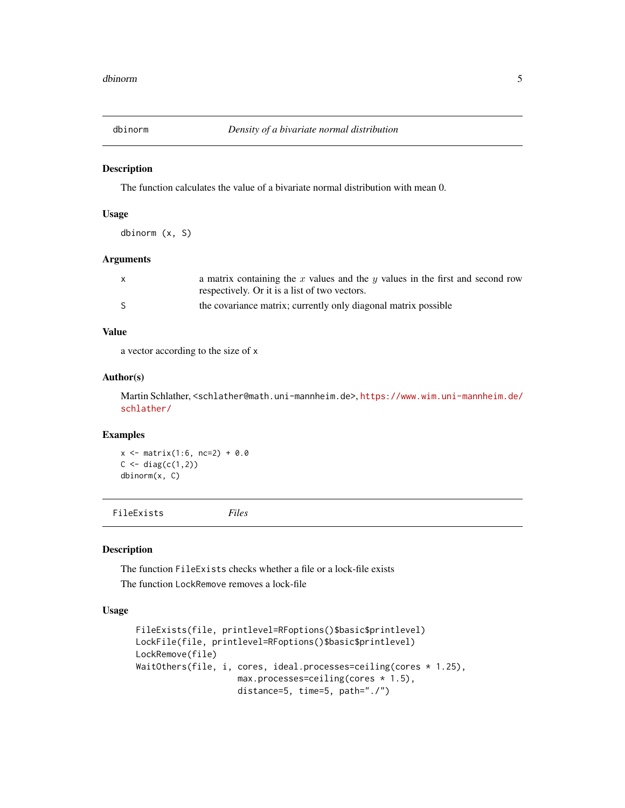<span id="page-4-0"></span>

# Description

The function calculates the value of a bivariate normal distribution with mean 0.

# Usage

dbinorm (x, S)

# Arguments

| X  | a matrix containing the x values and the y values in the first and second row<br>respectively. Or it is a list of two vectors. |
|----|--------------------------------------------------------------------------------------------------------------------------------|
| -S | the covariance matrix; currently only diagonal matrix possible                                                                 |

# Value

a vector according to the size of x

#### Author(s)

Martin Schlather, <schlather@math.uni-mannheim.de>, [https://www.wim.uni-mannheim.de/](https://www.wim.uni-mannheim.de/schlather/) [schlather/](https://www.wim.uni-mannheim.de/schlather/)

#### Examples

 $x \le -$  matrix(1:6, nc=2) + 0.0  $C \leftarrow diag(c(1,2))$ dbinorm(x, C)

FileExists *Files*

# Description

The function FileExists checks whether a file or a lock-file exists The function LockRemove removes a lock-file

```
FileExists(file, printlevel=RFoptions()$basic$printlevel)
LockFile(file, printlevel=RFoptions()$basic$printlevel)
LockRemove(file)
WaitOthers(file, i, cores, ideal.processes=ceiling(cores * 1.25),
                    max.processes=ceiling(cores * 1.5),
                    distance=5, time=5, path="./")
```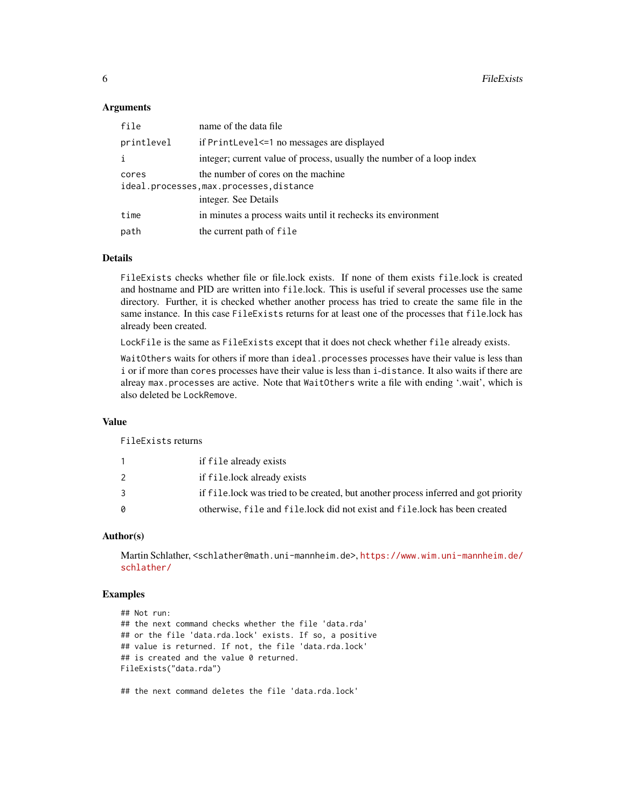#### **Arguments**

| file       | name of the data file                                                 |
|------------|-----------------------------------------------------------------------|
| printlevel | if PrintLevel <= 1 no messages are displayed                          |
| i          | integer; current value of process, usually the number of a loop index |
| cores      | the number of cores on the machine                                    |
|            | ideal.processes, max.processes, distance                              |
|            | integer. See Details                                                  |
| time       | in minutes a process waits until it rechecks its environment          |
| path       | the current path of file                                              |

# Details

FileExists checks whether file or file.lock exists. If none of them exists file.lock is created and hostname and PID are written into file.lock. This is useful if several processes use the same directory. Further, it is checked whether another process has tried to create the same file in the same instance. In this case FileExists returns for at least one of the processes that file.lock has already been created.

LockFile is the same as FileExists except that it does not check whether file already exists.

WaitOthers waits for others if more than ideal.processes processes have their value is less than i or if more than cores processes have their value is less than i-distance. It also waits if there are alreay max.processes are active. Note that WaitOthers write a file with ending '.wait', which is also deleted be LockRemove.

#### Value

FileExists returns

|    | if file already exists                                                              |
|----|-------------------------------------------------------------------------------------|
|    | if file.lock already exists                                                         |
|    | if file.lock was tried to be created, but another process inferred and got priority |
| Ø. | otherwise, file and file.lock did not exist and file.lock has been created          |
|    |                                                                                     |

# Author(s)

Martin Schlather, <schlather@math.uni-mannheim.de>, [https://www.wim.uni-mannheim.de/](https://www.wim.uni-mannheim.de/schlather/) [schlather/](https://www.wim.uni-mannheim.de/schlather/)

# Examples

```
## Not run:
## the next command checks whether the file 'data.rda'
## or the file 'data.rda.lock' exists. If so, a positive
## value is returned. If not, the file 'data.rda.lock'
## is created and the value 0 returned.
FileExists("data.rda")
```
## the next command deletes the file 'data.rda.lock'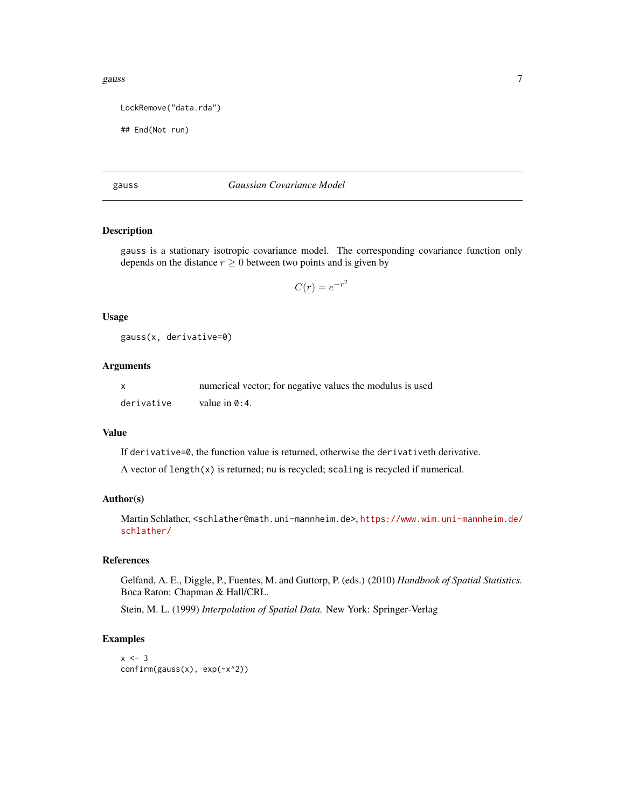#### <span id="page-6-0"></span>gauss  $\overline{7}$

```
LockRemove("data.rda")
```

```
## End(Not run)
```
#### gauss *Gaussian Covariance Model*

# Description

gauss is a stationary isotropic covariance model. The corresponding covariance function only depends on the distance  $r \geq 0$  between two points and is given by

$$
C(r) = e^{-r^2}
$$

#### Usage

gauss(x, derivative=0)

#### Arguments

x numerical vector; for negative values the modulus is used derivative value in 0:4.

# Value

If derivative=0, the function value is returned, otherwise the derivativeth derivative.

A vector of length(x) is returned; nu is recycled; scaling is recycled if numerical.

# Author(s)

Martin Schlather, <schlather@math.uni-mannheim.de>, [https://www.wim.uni-mannheim.de/](https://www.wim.uni-mannheim.de/schlather/) [schlather/](https://www.wim.uni-mannheim.de/schlather/)

# References

Gelfand, A. E., Diggle, P., Fuentes, M. and Guttorp, P. (eds.) (2010) *Handbook of Spatial Statistics.* Boca Raton: Chapman & Hall/CRL.

Stein, M. L. (1999) *Interpolation of Spatial Data.* New York: Springer-Verlag

```
x \le -3confirm(gauss(x), exp(-x^2))
```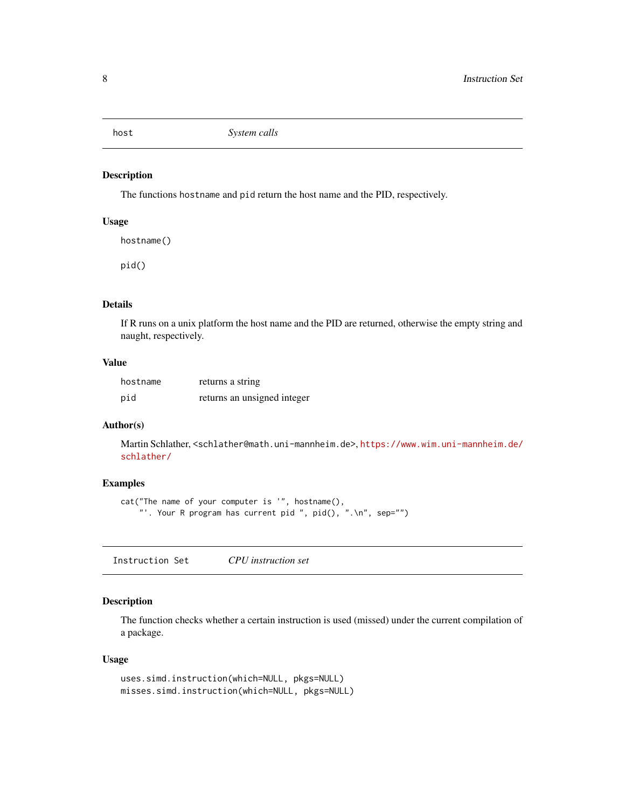<span id="page-7-0"></span>

# Description

The functions hostname and pid return the host name and the PID, respectively.

#### Usage

hostname() pid()

#### Details

If R runs on a unix platform the host name and the PID are returned, otherwise the empty string and naught, respectively.

# Value

| hostname | returns a string            |
|----------|-----------------------------|
| pid      | returns an unsigned integer |

#### Author(s)

Martin Schlather, <schlather@math.uni-mannheim.de>, [https://www.wim.uni-mannheim.de/](https://www.wim.uni-mannheim.de/schlather/) [schlather/](https://www.wim.uni-mannheim.de/schlather/)

# Examples

```
cat("The name of your computer is '", hostname(),
    "'. Your R program has current pid ", pid(), ".\n", sep="")
```
Instruction Set *CPU instruction set*

# Description

The function checks whether a certain instruction is used (missed) under the current compilation of a package.

```
uses.simd.instruction(which=NULL, pkgs=NULL)
misses.simd.instruction(which=NULL, pkgs=NULL)
```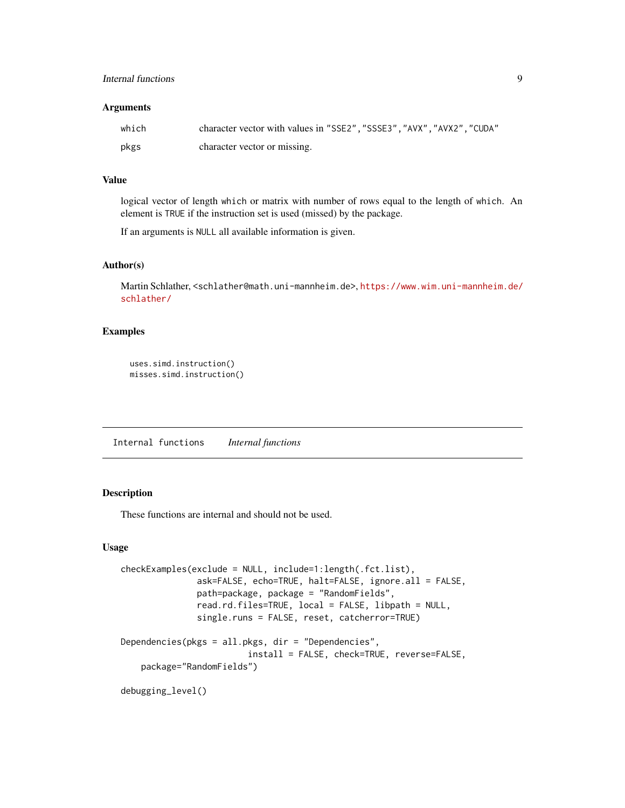#### <span id="page-8-0"></span>Arguments

| which | character vector with values in "SSE2", "SSSE3", "AVX", "AVX2", "CUDA" |
|-------|------------------------------------------------------------------------|
| pkgs  | character vector or missing.                                           |

# Value

logical vector of length which or matrix with number of rows equal to the length of which. An element is TRUE if the instruction set is used (missed) by the package.

If an arguments is NULL all available information is given.

# Author(s)

Martin Schlather, <schlather@math.uni-mannheim.de>, [https://www.wim.uni-mannheim.de/](https://www.wim.uni-mannheim.de/schlather/) [schlather/](https://www.wim.uni-mannheim.de/schlather/)

# Examples

```
uses.simd.instruction()
misses.simd.instruction()
```
Internal functions *Internal functions*

# Description

These functions are internal and should not be used.

```
checkExamples(exclude = NULL, include=1:length(.fct.list),
               ask=FALSE, echo=TRUE, halt=FALSE, ignore.all = FALSE,
               path=package, package = "RandomFields",
               read.rd.files=TRUE, local = FALSE, libpath = NULL,
              single.runs = FALSE, reset, catcherror=TRUE)
Dependencies(pkgs = all.pkgs, dir = "Dependencies",
                         install = FALSE, check=TRUE, reverse=FALSE,
   package="RandomFields")
debugging_level()
```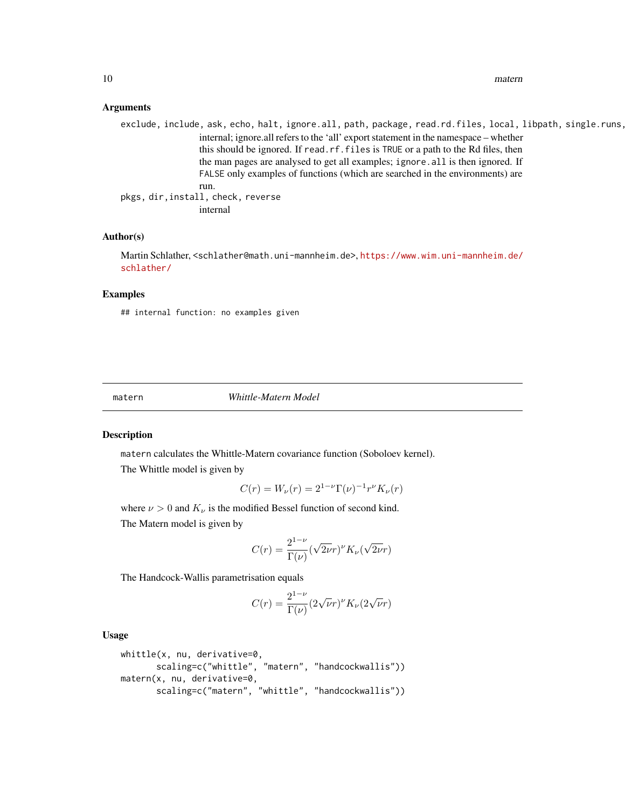<span id="page-9-0"></span>10 matern matern matern matern matern matern matern matern matern matern matern matern matern matern matern matern matern matern matern matern matern matern matern matern matern matern matern matern matern matern matern ma

#### Arguments

exclude, include, ask, echo, halt, ignore.all, path, package, read.rd.files, local, libpath, single.runs, internal; ignore.all refers to the 'all' export statement in the namespace – whether this should be ignored. If read.rf.files is TRUE or a path to the Rd files, then the man pages are analysed to get all examples; ignore.all is then ignored. If FALSE only examples of functions (which are searched in the environments) are run. pkgs, dir,install, check, reverse internal

#### Author(s)

Martin Schlather, <schlather@math.uni-mannheim.de>, [https://www.wim.uni-mannheim.de/](https://www.wim.uni-mannheim.de/schlather/) [schlather/](https://www.wim.uni-mannheim.de/schlather/)

#### Examples

## internal function: no examples given

<span id="page-9-2"></span>matern *Whittle-Matern Model*

#### <span id="page-9-1"></span>Description

matern calculates the Whittle-Matern covariance function (Soboloev kernel).

The Whittle model is given by

$$
C(r) = W_{\nu}(r) = 2^{1-\nu} \Gamma(\nu)^{-1} r^{\nu} K_{\nu}(r)
$$

where  $\nu > 0$  and  $K_{\nu}$  is the modified Bessel function of second kind. The Matern model is given by

$$
C(r) = \frac{2^{1-\nu}}{\Gamma(\nu)} (\sqrt{2\nu}r)^{\nu} K_{\nu}(\sqrt{2\nu}r)
$$

The Handcock-Wallis parametrisation equals

$$
C(r) = \frac{2^{1-\nu}}{\Gamma(\nu)} (2\sqrt{\nu}r)^{\nu} K_{\nu} (2\sqrt{\nu}r)
$$

```
whittle(x, nu, derivative=0,
      scaling=c("whittle", "matern", "handcockwallis"))
matern(x, nu, derivative=0,
      scaling=c("matern", "whittle", "handcockwallis"))
```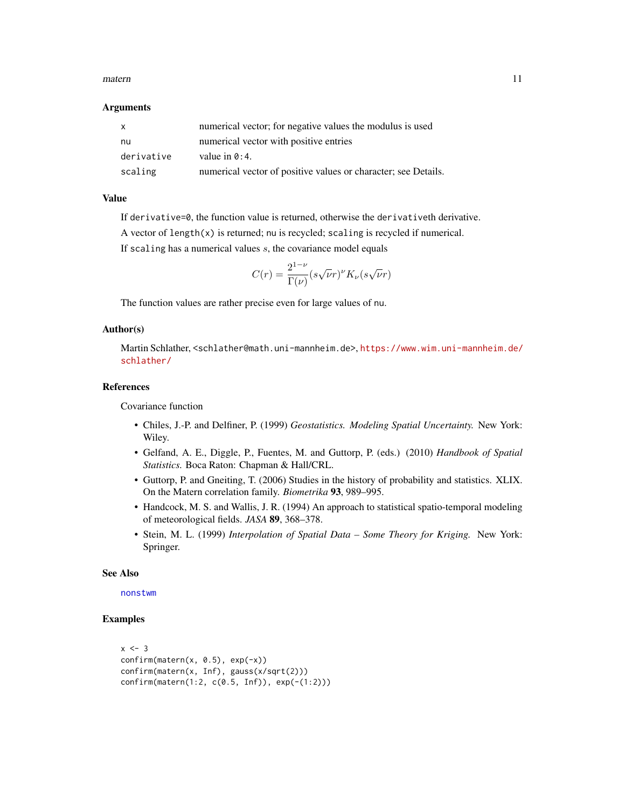#### <span id="page-10-0"></span>matern 11

#### **Arguments**

| $\mathsf{x}$ | numerical vector; for negative values the modulus is used      |
|--------------|----------------------------------------------------------------|
| nu           | numerical vector with positive entries                         |
| derivative   | value in $0:4$ .                                               |
| scaling      | numerical vector of positive values or character; see Details. |

# Value

If derivative=0, the function value is returned, otherwise the derivativeth derivative.

A vector of length(x) is returned; nu is recycled; scaling is recycled if numerical.

If scaling has a numerical values  $s$ , the covariance model equals

$$
C(r) = \frac{2^{1-\nu}}{\Gamma(\nu)} (s\sqrt{\nu}r)^{\nu} K_{\nu} (s\sqrt{\nu}r)
$$

The function values are rather precise even for large values of nu.

#### Author(s)

Martin Schlather, <schlather@math.uni-mannheim.de>, [https://www.wim.uni-mannheim.de/](https://www.wim.uni-mannheim.de/schlather/) [schlather/](https://www.wim.uni-mannheim.de/schlather/)

# References

Covariance function

- Chiles, J.-P. and Delfiner, P. (1999) *Geostatistics. Modeling Spatial Uncertainty.* New York: Wiley.
- Gelfand, A. E., Diggle, P., Fuentes, M. and Guttorp, P. (eds.) (2010) *Handbook of Spatial Statistics.* Boca Raton: Chapman & Hall/CRL.
- Guttorp, P. and Gneiting, T. (2006) Studies in the history of probability and statistics. XLIX. On the Matern correlation family. *Biometrika* 93, 989–995.
- Handcock, M. S. and Wallis, J. R. (1994) An approach to statistical spatio-temporal modeling of meteorological fields. *JASA* 89, 368–378.
- Stein, M. L. (1999) *Interpolation of Spatial Data Some Theory for Kriging.* New York: Springer.

#### See Also

#### [nonstwm](#page-11-1)

```
x \le -3confirm(matern(x, 0.5), exp(-x))
confirm(matern(x, Inf), gauss(x/sqrt(2)))
confirm(matern(1:2, c(0.5, Inf)), exp(-(1:2)))
```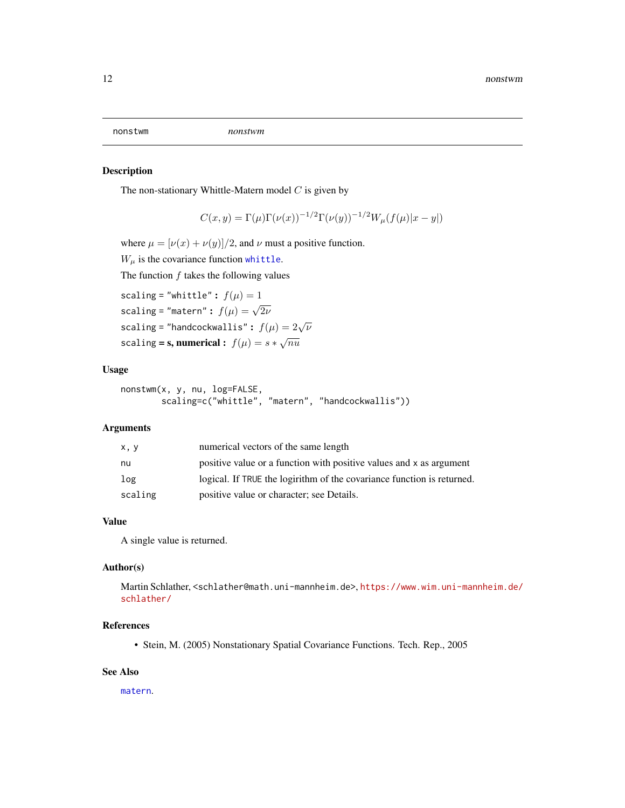<span id="page-11-1"></span><span id="page-11-0"></span>

#### Description

The non-stationary Whittle-Matern model  $C$  is given by

$$
C(x, y) = \Gamma(\mu)\Gamma(\nu(x))^{-1/2}\Gamma(\nu(y))^{-1/2}W_{\mu}(f(\mu)|x - y|)
$$

where  $\mu = [\nu(x) + \nu(y)]/2$ , and  $\nu$  must a positive function.

 $W_{\mu}$  is the covariance function [whittle](#page-9-1).

The function  $f$  takes the following values

```
scaling = "whittle": f(\mu) = 1scaling = "matern" : f(\mu) = \sqrt{2\nu}scaling = "handcockwallis": f(\mu) = 2\sqrt{\nu}scaling = s, numerical : f(\mu) = s * \sqrt{n\mu}
```
# Usage

```
nonstwm(x, y, nu, log=FALSE,
        scaling=c("whittle", "matern", "handcockwallis"))
```
#### Arguments

| x, y    | numerical vectors of the same length                                   |
|---------|------------------------------------------------------------------------|
| nu      | positive value or a function with positive values and x as argument    |
| log     | logical. If TRUE the logirithm of the covariance function is returned. |
| scaling | positive value or character; see Details.                              |

# Value

A single value is returned.

## Author(s)

Martin Schlather, <schlather@math.uni-mannheim.de>, [https://www.wim.uni-mannheim.de/](https://www.wim.uni-mannheim.de/schlather/) [schlather/](https://www.wim.uni-mannheim.de/schlather/)

# References

• Stein, M. (2005) Nonstationary Spatial Covariance Functions. Tech. Rep., 2005

# See Also

[matern](#page-9-2).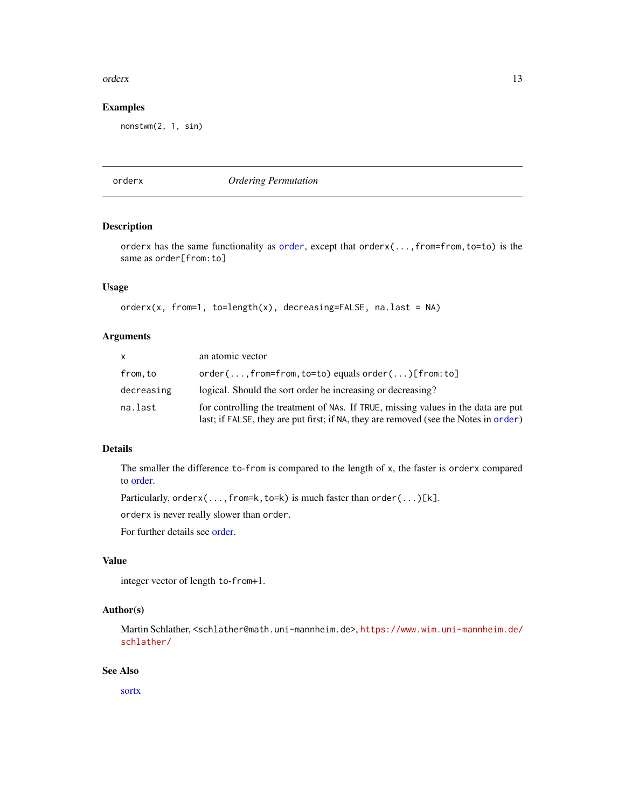#### <span id="page-12-0"></span>orderx and the contract of the contract of the contract of the contract of the contract of the contract of the contract of the contract of the contract of the contract of the contract of the contract of the contract of the

# Examples

nonstwm(2, 1, sin)

# <span id="page-12-1"></span>orderx *Ordering Permutation*

# Description

orderx has the same functionality as [order](#page-0-0), except that orderx(...,from=from,to=to) is the same as order[from:to]

# Usage

```
orderx(x, from=1, to=length(x), decreasing=FALKE, na last = NA)
```
# Arguments

| <b>X</b>   | an atomic vector                                                                                                                                                          |
|------------|---------------------------------------------------------------------------------------------------------------------------------------------------------------------------|
| from.to    | $order(,from=from,to=to) equals order()[from:to]$                                                                                                                         |
| decreasing | logical. Should the sort order be increasing or decreasing?                                                                                                               |
| na.last    | for controlling the treatment of NAs. If TRUE, missing values in the data are put<br>last; if FALSE, they are put first; if NA, they are removed (see the Notes in order) |

# Details

The smaller the difference to-from is compared to the length of x, the faster is orderx compared to [order.](#page-0-0)

Particularly, orderx(...,from=k,to=k) is much faster than order(...)[k].

orderx is never really slower than order.

For further details see [order.](#page-0-0)

# Value

integer vector of length to-from+1.

# Author(s)

Martin Schlather, <schlather@math.uni-mannheim.de>, [https://www.wim.uni-mannheim.de/](https://www.wim.uni-mannheim.de/schlather/) [schlather/](https://www.wim.uni-mannheim.de/schlather/)

# See Also

[sortx](#page-25-1)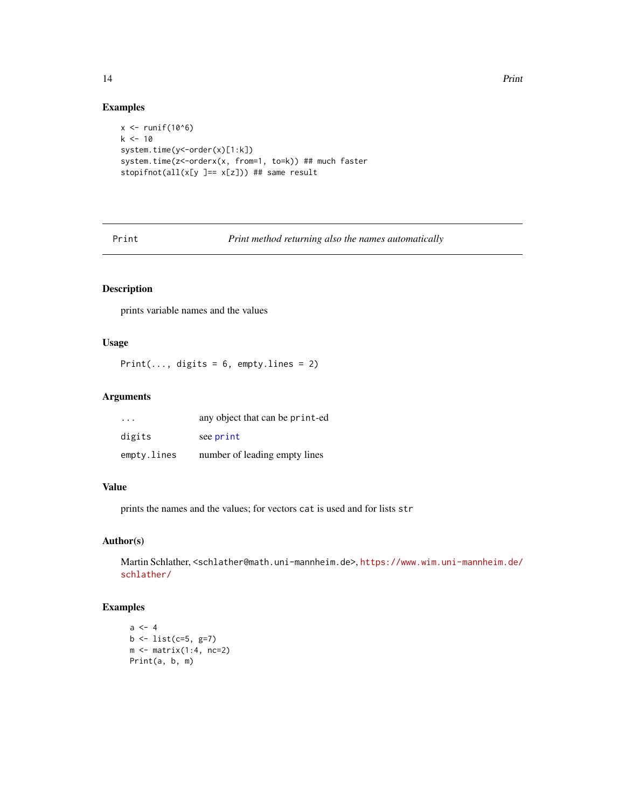# Examples

```
x \leftarrow runif(10^6)k < -10system.time(y<-order(x)[1:k])
system.time(z <- orderx(x, from=1, to=k)) ## much faster
stopifnot(all(x[y ]== x[z])) ## same result
```
Print *Print method returning also the names automatically*

# Description

prints variable names and the values

# Usage

Print(..., digits =  $6$ , empty.lines = 2)

# Arguments

| $\cdot$ $\cdot$ $\cdot$ | any object that can be print-ed |
|-------------------------|---------------------------------|
| digits                  | see print                       |
| empty.lines             | number of leading empty lines   |

#### Value

prints the names and the values; for vectors cat is used and for lists str

# Author(s)

Martin Schlather, <schlather@math.uni-mannheim.de>, [https://www.wim.uni-mannheim.de/](https://www.wim.uni-mannheim.de/schlather/) [schlather/](https://www.wim.uni-mannheim.de/schlather/)

```
a \leq -4b <- list(c=5, g=7)
m \leftarrow matrix(1:4, nc=2)Print(a, b, m)
```
<span id="page-13-0"></span>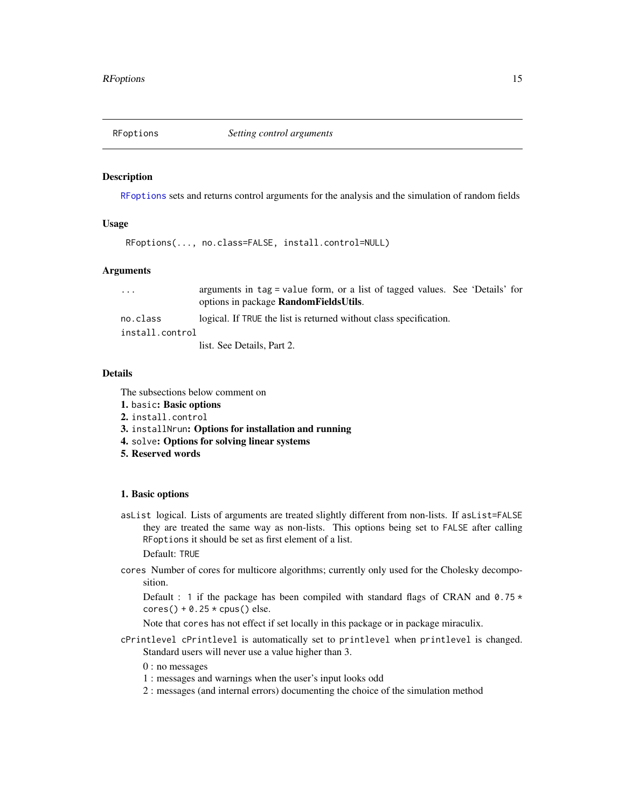<span id="page-14-1"></span><span id="page-14-0"></span>

#### Description

[RFoptions](#page-14-1) sets and returns control arguments for the analysis and the simulation of random fields

#### Usage

RFoptions(..., no.class=FALSE, install.control=NULL)

#### Arguments

... arguments in tag = value form, or a list of tagged values. See 'Details' for options in package RandomFieldsUtils.

no.class logical. If TRUE the list is returned without class specification.

install.control

list. See Details, Part 2.

# **Details**

The subsections below comment on

- 1. basic: Basic options
- 2. install.control
- 3. installNrun: Options for installation and running
- 4. solve: Options for solving linear systems
- 5. Reserved words

#### 1. Basic options

asList logical. Lists of arguments are treated slightly different from non-lists. If asList=FALSE they are treated the same way as non-lists. This options being set to FALSE after calling RFoptions it should be set as first element of a list.

Default: TRUE

cores Number of cores for multicore algorithms; currently only used for the Cholesky decomposition.

Default : 1 if the package has been compiled with standard flags of CRAN and  $0.75 \star$  $cores() + 0.25 * cups()$  else.

Note that cores has not effect if set locally in this package or in package miraculix.

cPrintlevel cPrintlevel is automatically set to printlevel when printlevel is changed. Standard users will never use a value higher than 3.

# 0 : no messages

- 1 : messages and warnings when the user's input looks odd
- 2 : messages (and internal errors) documenting the choice of the simulation method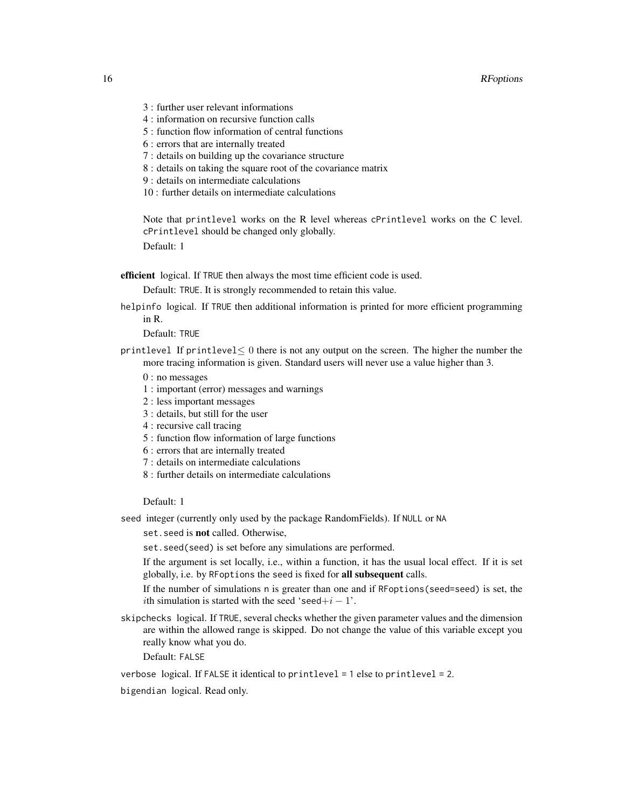- 3 : further user relevant informations
- 4 : information on recursive function calls
- 5 : function flow information of central functions
- 6 : errors that are internally treated
- 7 : details on building up the covariance structure
- 8 : details on taking the square root of the covariance matrix
- 9 : details on intermediate calculations
- 10 : further details on intermediate calculations

Note that printlevel works on the R level whereas cPrintlevel works on the C level. cPrintlevel should be changed only globally.

Default: 1

efficient logical. If TRUE then always the most time efficient code is used.

Default: TRUE. It is strongly recommended to retain this value.

helpinfo logical. If TRUE then additional information is printed for more efficient programming in R.

Default: TRUE

- printlevel If printlevel $\leq 0$  there is not any output on the screen. The higher the number the more tracing information is given. Standard users will never use a value higher than 3.
	- 0 : no messages
	- 1 : important (error) messages and warnings
	- 2 : less important messages
	- 3 : details, but still for the user
	- 4 : recursive call tracing
	- 5 : function flow information of large functions
	- 6 : errors that are internally treated
	- 7 : details on intermediate calculations
	- 8 : further details on intermediate calculations

# Default: 1

seed integer (currently only used by the package RandomFields). If NULL or NA

set. seed is not called. Otherwise,

set.seed(seed) is set before any simulations are performed.

If the argument is set locally, i.e., within a function, it has the usual local effect. If it is set globally, i.e. by RFoptions the seed is fixed for all subsequent calls.

If the number of simulations n is greater than one and if RFoptions(seed=seed) is set, the *i*th simulation is started with the seed 'seed+ $i - 1$ '.

- skipchecks logical. If TRUE, several checks whether the given parameter values and the dimension are within the allowed range is skipped. Do not change the value of this variable except you really know what you do.
	- Default: FALSE

verbose logical. If FALSE it identical to printlevel = 1 else to printlevel = 2.

bigendian logical. Read only.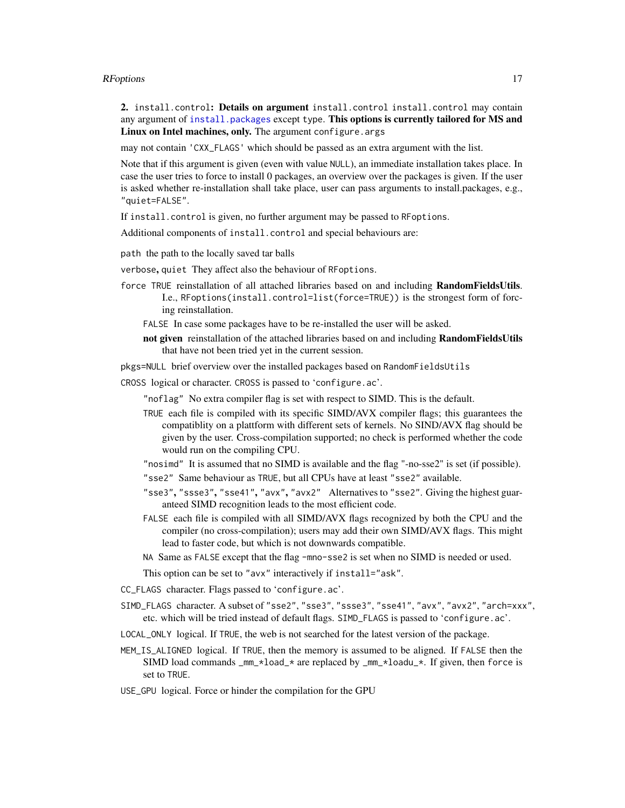#### <span id="page-16-0"></span>RFoptions and the contract of the contract of the contract of the contract of the contract of the contract of the contract of the contract of the contract of the contract of the contract of the contract of the contract of

2. install.control: Details on argument install.control install.control may contain any argument of [install.packages](#page-0-0) except type. This options is currently tailored for MS and Linux on Intel machines, only. The argument configure. args

may not contain 'CXX\_FLAGS' which should be passed as an extra argument with the list.

Note that if this argument is given (even with value NULL), an immediate installation takes place. In case the user tries to force to install 0 packages, an overview over the packages is given. If the user is asked whether re-installation shall take place, user can pass arguments to install.packages, e.g., "quiet=FALSE".

If install.control is given, no further argument may be passed to RFoptions.

Additional components of install.control and special behaviours are:

path the path to the locally saved tar balls

verbose, quiet They affect also the behaviour of RFoptions.

- force TRUE reinstallation of all attached libraries based on and including RandomFieldsUtils. I.e., RFoptions(install.control=list(force=TRUE)) is the strongest form of forcing reinstallation.
	- FALSE In case some packages have to be re-installed the user will be asked.
	- not given reinstallation of the attached libraries based on and including RandomFieldsUtils that have not been tried yet in the current session.

pkgs=NULL brief overview over the installed packages based on RandomFieldsUtils

- CROSS logical or character. CROSS is passed to 'configure.ac'.
	- "noflag" No extra compiler flag is set with respect to SIMD. This is the default.
	- TRUE each file is compiled with its specific SIMD/AVX compiler flags; this guarantees the compatiblity on a plattform with different sets of kernels. No SIND/AVX flag should be given by the user. Cross-compilation supported; no check is performed whether the code would run on the compiling CPU.
	- "nosimd" It is assumed that no SIMD is available and the flag "-no-sse2" is set (if possible).
	- "sse2" Same behaviour as TRUE, but all CPUs have at least "sse2" available.
	- "sse3", "ssse3", "sse41", "avx", "avx2" Alternatives to "sse2". Giving the highest guaranteed SIMD recognition leads to the most efficient code.
	- FALSE each file is compiled with all SIMD/AVX flags recognized by both the CPU and the compiler (no cross-compilation); users may add their own SIMD/AVX flags. This might lead to faster code, but which is not downwards compatible.
	- NA Same as FALSE except that the flag -mno-sse2 is set when no SIMD is needed or used.

This option can be set to "avx" interactively if install="ask".

- CC\_FLAGS character. Flags passed to 'configure.ac'.
- SIMD\_FLAGS character. A subset of "sse2", "sse3", "ssse3", "sse41", "avx", "avx2", "arch=xxx", etc. which will be tried instead of default flags. SIMD\_FLAGS is passed to 'configure.ac'.
- LOCAL\_ONLY logical. If TRUE, the web is not searched for the latest version of the package.
- MEM\_IS\_ALIGNED logical. If TRUE, then the memory is assumed to be aligned. If FALSE then the SIMD load commands  $\text{mm}_{\pm}$  and  $\text{m}_{\pm}$  are replaced by  $\text{mm}_{\pm}$  and  $\text{m}_{\pm}$ . If given, then force is set to TRUE.
- USE\_GPU logical. Force or hinder the compilation for the GPU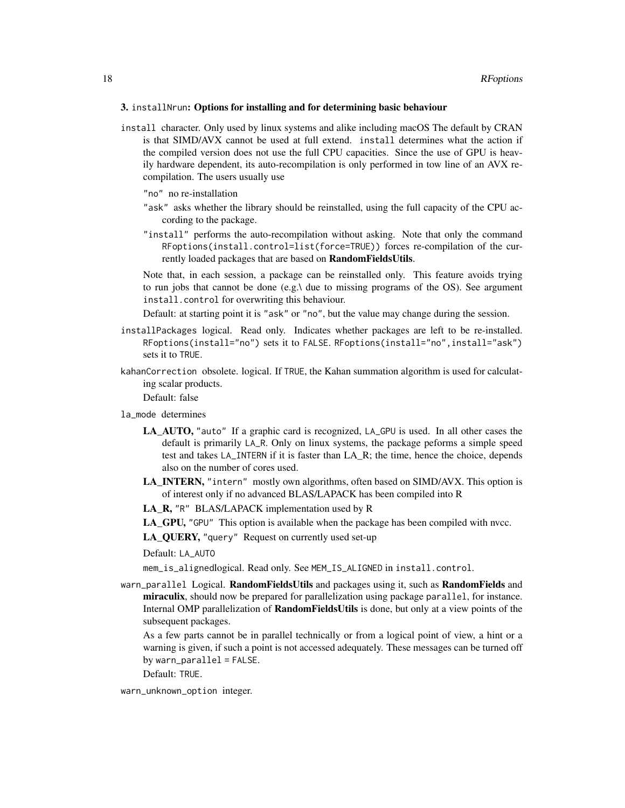#### 3. installNrun: Options for installing and for determining basic behaviour

install character. Only used by linux systems and alike including macOS The default by CRAN is that SIMD/AVX cannot be used at full extend. install determines what the action if the compiled version does not use the full CPU capacities. Since the use of GPU is heavily hardware dependent, its auto-recompilation is only performed in tow line of an AVX recompilation. The users usually use

"no" no re-installation

- "ask" asks whether the library should be reinstalled, using the full capacity of the CPU according to the package.
- "install" performs the auto-recompilation without asking. Note that only the command RFoptions(install.control=list(force=TRUE)) forces re-compilation of the currently loaded packages that are based on RandomFieldsUtils.

Note that, in each session, a package can be reinstalled only. This feature avoids trying to run jobs that cannot be done (e.g.) due to missing programs of the OS). See argument install.control for overwriting this behaviour.

Default: at starting point it is "ask" or "no", but the value may change during the session.

- installPackages logical. Read only. Indicates whether packages are left to be re-installed. RFoptions(install="no") sets it to FALSE. RFoptions(install="no",install="ask") sets it to TRUE.
- kahanCorrection obsolete. logical. If TRUE, the Kahan summation algorithm is used for calculating scalar products.

Default: false

la\_mode determines

- LA\_AUTO, "auto" If a graphic card is recognized, LA\_GPU is used. In all other cases the default is primarily LA\_R. Only on linux systems, the package peforms a simple speed test and takes LA\_INTERN if it is faster than LA\_R; the time, hence the choice, depends also on the number of cores used.
- LA\_INTERN, "intern" mostly own algorithms, often based on SIMD/AVX. This option is of interest only if no advanced BLAS/LAPACK has been compiled into R

LA\_R, "R" BLAS/LAPACK implementation used by R

LA\_GPU, "GPU" This option is available when the package has been compiled with nvcc.

LA\_QUERY, "query" Request on currently used set-up

Default: LA\_AUTO

mem\_is\_alignedlogical. Read only. See MEM\_IS\_ALIGNED in install.control.

warn\_parallel Logical. RandomFieldsUtils and packages using it, such as RandomFields and miraculix, should now be prepared for parallelization using package parallel, for instance. Internal OMP parallelization of **RandomFieldsUtils** is done, but only at a view points of the subsequent packages.

As a few parts cannot be in parallel technically or from a logical point of view, a hint or a warning is given, if such a point is not accessed adequately. These messages can be turned off by warn\_parallel = FALSE.

Default: TRUE.

warn\_unknown\_option integer.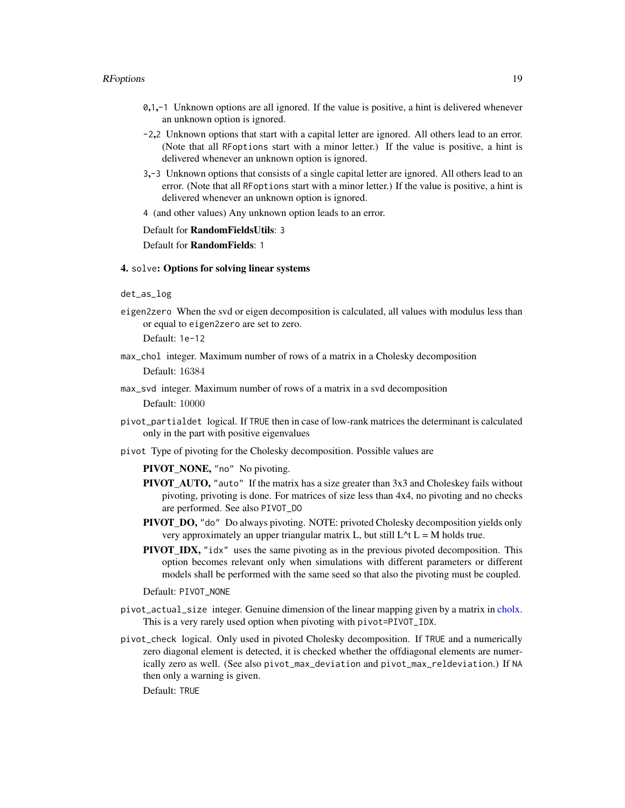#### <span id="page-18-0"></span>RFoptions and the contract of the contract of the contract of the contract of the contract of the contract of the contract of the contract of the contract of the contract of the contract of the contract of the contract of

- 0,1,-1 Unknown options are all ignored. If the value is positive, a hint is delivered whenever an unknown option is ignored.
- -2,2 Unknown options that start with a capital letter are ignored. All others lead to an error. (Note that all RFoptions start with a minor letter.) If the value is positive, a hint is delivered whenever an unknown option is ignored.
- 3,-3 Unknown options that consists of a single capital letter are ignored. All others lead to an error. (Note that all RFoptions start with a minor letter.) If the value is positive, a hint is delivered whenever an unknown option is ignored.
- 4 (and other values) Any unknown option leads to an error.

Default for RandomFieldsUtils: 3

Default for RandomFields: 1

#### 4. solve: Options for solving linear systems

#### det\_as\_log

eigen2zero When the svd or eigen decomposition is calculated, all values with modulus less than or equal to eigen2zero are set to zero.

Default: 1e-12

- max\_chol integer. Maximum number of rows of a matrix in a Cholesky decomposition Default: 16384
- max\_svd integer. Maximum number of rows of a matrix in a svd decomposition

Default: 10000

- pivot\_partialdet logical. If TRUE then in case of low-rank matrices the determinant is calculated only in the part with positive eigenvalues
- pivot Type of pivoting for the Cholesky decomposition. Possible values are

PIVOT\_NONE, "no" No pivoting.

- PIVOT\_AUTO, "auto" If the matrix has a size greater than 3x3 and Choleskey fails without pivoting, privoting is done. For matrices of size less than 4x4, no pivoting and no checks are performed. See also PIVOT\_DO
- PIVOT\_DO, "do" Do always pivoting. NOTE: privoted Cholesky decomposition yields only very approximately an upper triangular matrix L, but still  $L^{\wedge}$ t L = M holds true.
- PIVOT\_IDX, "idx" uses the same pivoting as in the previous pivoted decomposition. This option becomes relevant only when simulations with different parameters or different models shall be performed with the same seed so that also the pivoting must be coupled.

Default: PIVOT\_NONE

- pivot\_actual\_size integer. Genuine dimension of the linear mapping given by a matrix in [cholx.](#page-1-1) This is a very rarely used option when pivoting with pivot=PIVOT\_IDX.
- pivot\_check logical. Only used in pivoted Cholesky decomposition. If TRUE and a numerically zero diagonal element is detected, it is checked whether the offdiagonal elements are numerically zero as well. (See also pivot\_max\_deviation and pivot\_max\_reldeviation.) If NA then only a warning is given.

Default: TRUE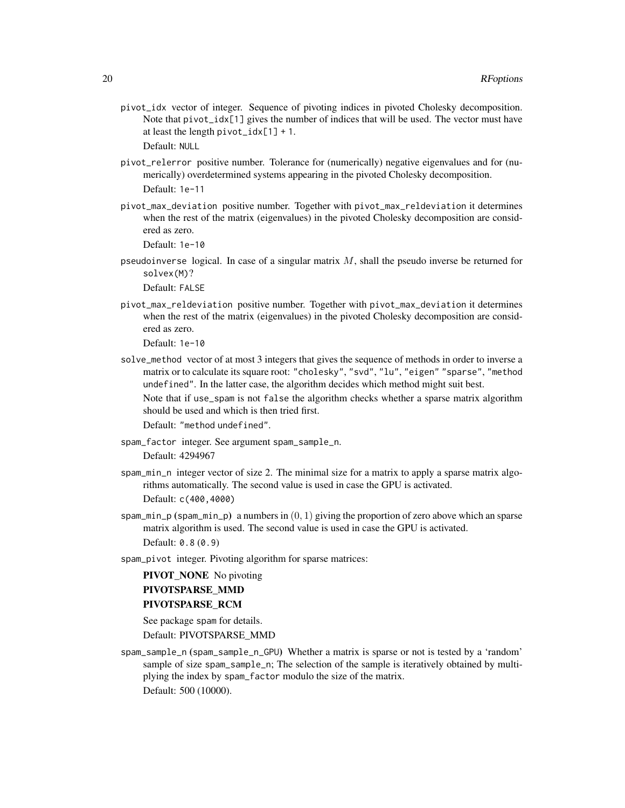pivot\_idx vector of integer. Sequence of pivoting indices in pivoted Cholesky decomposition. Note that pivot\_idx[1] gives the number of indices that will be used. The vector must have at least the length  $pivot\_idx[1] + 1$ .

Default: NULL

- pivot\_relerror positive number. Tolerance for (numerically) negative eigenvalues and for (numerically) overdetermined systems appearing in the pivoted Cholesky decomposition. Default: 1e-11
- pivot\_max\_deviation positive number. Together with pivot\_max\_reldeviation it determines when the rest of the matrix (eigenvalues) in the pivoted Cholesky decomposition are considered as zero.

Default: 1e-10

pseudoinverse logical. In case of a singular matrix  $M$ , shall the pseudo inverse be returned for solvex(M)?

Default: FALSE

pivot\_max\_reldeviation positive number. Together with pivot\_max\_deviation it determines when the rest of the matrix (eigenvalues) in the pivoted Cholesky decomposition are considered as zero.

Default: 1e-10

solve\_method vector of at most 3 integers that gives the sequence of methods in order to inverse a matrix or to calculate its square root: "cholesky", "svd", "lu", "eigen" "sparse", "method undefined". In the latter case, the algorithm decides which method might suit best.

Note that if use\_spam is not false the algorithm checks whether a sparse matrix algorithm should be used and which is then tried first.

Default: "method undefined".

- spam\_factor integer. See argument spam\_sample\_n. Default: 4294967
- spam\_min\_n integer vector of size 2. The minimal size for a matrix to apply a sparse matrix algorithms automatically. The second value is used in case the GPU is activated.

Default: c(400,4000)

- spam\_min\_p (spam\_min\_p) a numbers in  $(0, 1)$  giving the proportion of zero above which an sparse matrix algorithm is used. The second value is used in case the GPU is activated. Default: 0.8 (0.9)
- spam\_pivot integer. Pivoting algorithm for sparse matrices:

PIVOT\_NONE No pivoting PIVOTSPARSE\_MMD PIVOTSPARSE\_RCM

See package spam for details. Default: PIVOTSPARSE\_MMD

spam\_sample\_n (spam\_sample\_n\_GPU) Whether a matrix is sparse or not is tested by a 'random' sample of size spam\_sample\_n; The selection of the sample is iteratively obtained by multiplying the index by spam\_factor modulo the size of the matrix. Default: 500 (10000).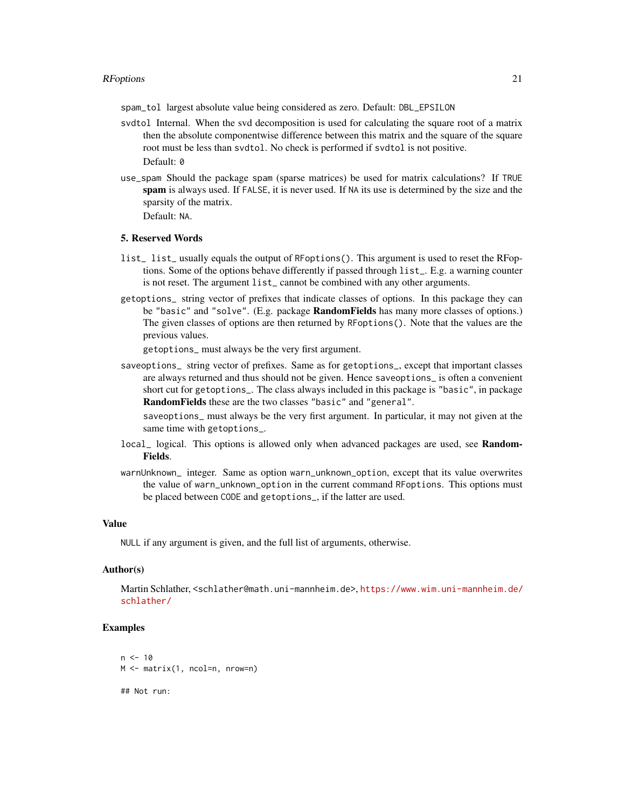spam\_tol largest absolute value being considered as zero. Default: DBL\_EPSILON

- svdtol Internal. When the svd decomposition is used for calculating the square root of a matrix then the absolute componentwise difference between this matrix and the square of the square root must be less than svdtol. No check is performed if svdtol is not positive. Default: 0
- use\_spam Should the package spam (sparse matrices) be used for matrix calculations? If TRUE spam is always used. If FALSE, it is never used. If NA its use is determined by the size and the sparsity of the matrix.

Default: NA.

#### 5. Reserved Words

- list\_ list\_ usually equals the output of RFoptions(). This argument is used to reset the RFoptions. Some of the options behave differently if passed through list\_. E.g. a warning counter is not reset. The argument list\_ cannot be combined with any other arguments.
- getoptions\_ string vector of prefixes that indicate classes of options. In this package they can be "basic" and "solve". (E.g. package RandomFields has many more classes of options.) The given classes of options are then returned by RFoptions(). Note that the values are the previous values.

getoptions\_ must always be the very first argument.

saveoptions\_ string vector of prefixes. Same as for getoptions\_, except that important classes are always returned and thus should not be given. Hence saveoptions\_ is often a convenient short cut for getoptions\_. The class always included in this package is "basic", in package RandomFields these are the two classes "basic" and "general".

saveoptions\_ must always be the very first argument. In particular, it may not given at the same time with getoptions\_.

- local<sub>-</sub> logical. This options is allowed only when advanced packages are used, see **Random-**Fields.
- warnUnknown\_ integer. Same as option warn\_unknown\_option, except that its value overwrites the value of warn\_unknown\_option in the current command RFoptions. This options must be placed between CODE and getoptions\_, if the latter are used.

# Value

NULL if any argument is given, and the full list of arguments, otherwise.

#### Author(s)

Martin Schlather, <schlather@math.uni-mannheim.de>, [https://www.wim.uni-mannheim.de/](https://www.wim.uni-mannheim.de/schlather/) [schlather/](https://www.wim.uni-mannheim.de/schlather/)

```
n < -10M <- matrix(1, ncol=n, nrow=n)
## Not run:
```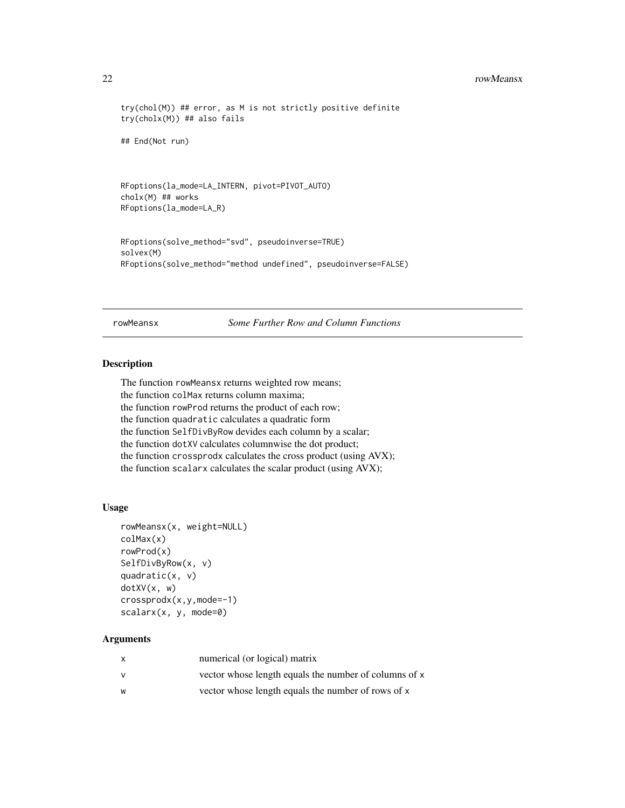#### <span id="page-21-0"></span>22 rowMeansx

```
try(chol(M)) ## error, as M is not strictly positive definite
try(cholx(M)) ## also fails
```
## End(Not run)

```
RFoptions(la_mode=LA_INTERN, pivot=PIVOT_AUTO)
cholx(M) ## works
RFoptions(la_mode=LA_R)
```

```
RFoptions(solve_method="svd", pseudoinverse=TRUE)
solvex(M)
RFoptions(solve_method="method undefined", pseudoinverse=FALSE)
```
rowMeansx *Some Further Row and Column Functions*

#### Description

The function rowMeansx returns weighted row means; the function colMax returns column maxima; the function rowProd returns the product of each row; the function quadratic calculates a quadratic form the function SelfDivByRow devides each column by a scalar; the function dotXV calculates columnwise the dot product; the function crossprodx calculates the cross product (using AVX); the function scalarx calculates the scalar product (using AVX);

#### Usage

```
rowMeansx(x, weight=NULL)
colMax(x)
rowProd(x)
SelfDivByRow(x, v)
quadratic(x, v)
dotXV(x, w)
crossprodx(x,y,mode=-1)
scalarx(x, y, mode=0)
```
# Arguments

| x | numerical (or logical) matrix                         |
|---|-------------------------------------------------------|
| v | vector whose length equals the number of columns of x |
| W | vector whose length equals the number of rows of x    |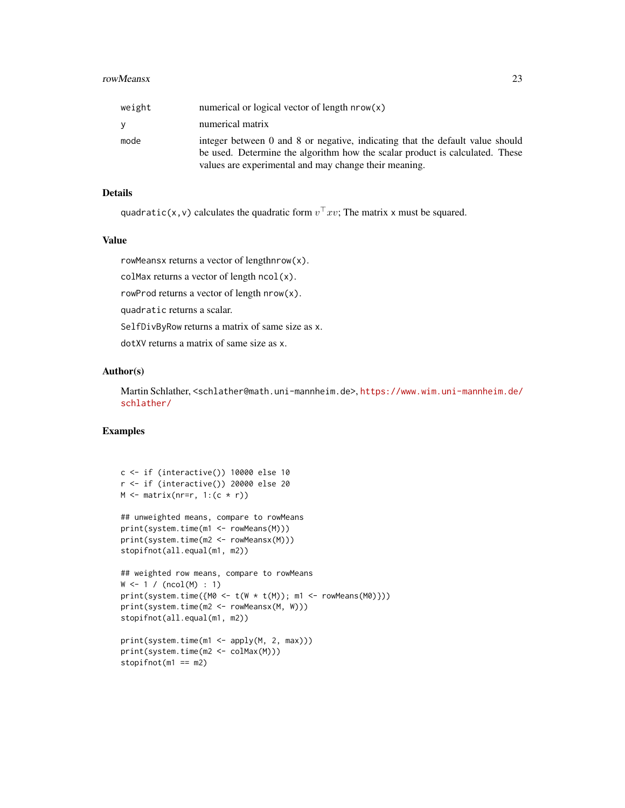#### rowMeansx 23

| weight | numerical or logical vector of length $nrow(x)$                                                                                                                                                                        |
|--------|------------------------------------------------------------------------------------------------------------------------------------------------------------------------------------------------------------------------|
| y.     | numerical matrix                                                                                                                                                                                                       |
| mode   | integer between 0 and 8 or negative, indicating that the default value should<br>be used. Determine the algorithm how the scalar product is calculated. These<br>values are experimental and may change their meaning. |

# Details

quadratic(x,v) calculates the quadratic form  $v^\top x v$ ; The matrix x must be squared.

# Value

rowMeansx returns a vector of lengthnrow(x).

colMax returns a vector of length  $ncol(x)$ .

rowProd returns a vector of length nrow(x).

quadratic returns a scalar.

SelfDivByRow returns a matrix of same size as x.

dotXV returns a matrix of same size as x.

#### Author(s)

Martin Schlather, <schlather@math.uni-mannheim.de>, [https://www.wim.uni-mannheim.de/](https://www.wim.uni-mannheim.de/schlather/) [schlather/](https://www.wim.uni-mannheim.de/schlather/)

```
c <- if (interactive()) 10000 else 10
r <- if (interactive()) 20000 else 20
M \leftarrow matrix(nr=r, 1:(c * r))
## unweighted means, compare to rowMeans
print(system.time(m1 <- rowMeans(M)))
print(system.time(m2 <- rowMeansx(M)))
stopifnot(all.equal(m1, m2))
## weighted row means, compare to rowMeans
W < -1 / (ncol(M) : 1)print(system.time({MO < -t(W * t(M)); m1 <- rowMeans(M0)}))
print(system.time(m2 <- rowMeansx(M, W)))
stopifnot(all.equal(m1, m2))
print(system.time(m1 <- apply(M, 2, max)))
print(system.time(m2 <- colMax(M)))
stopifnot(m1 == m2)
```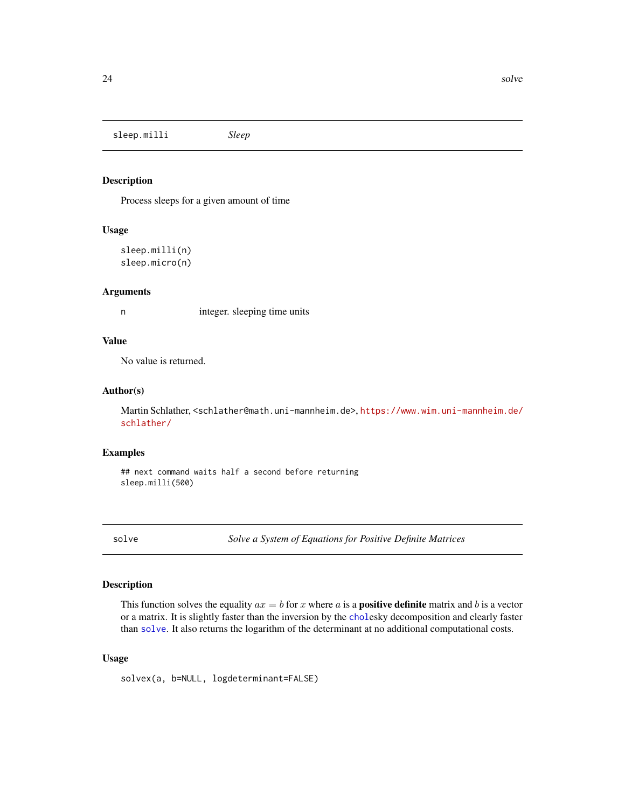<span id="page-23-0"></span>sleep.milli *Sleep*

#### Description

Process sleeps for a given amount of time

# Usage

```
sleep.milli(n)
sleep.micro(n)
```
#### Arguments

n integer. sleeping time units

# Value

No value is returned.

#### Author(s)

Martin Schlather, <schlather@math.uni-mannheim.de>, [https://www.wim.uni-mannheim.de/](https://www.wim.uni-mannheim.de/schlather/) [schlather/](https://www.wim.uni-mannheim.de/schlather/)

#### Examples

## next command waits half a second before returning sleep.milli(500)

<span id="page-23-1"></span>solve *Solve a System of Equations for Positive Definite Matrices*

# Description

This function solves the equality  $ax = b$  for x where a is a **positive definite** matrix and b is a vector or a matrix. It is slightly faster than the inversion by the [chol](#page-1-1)esky decomposition and clearly faster than [solve](#page-23-1). It also returns the logarithm of the determinant at no additional computational costs.

#### Usage

solvex(a, b=NULL, logdeterminant=FALSE)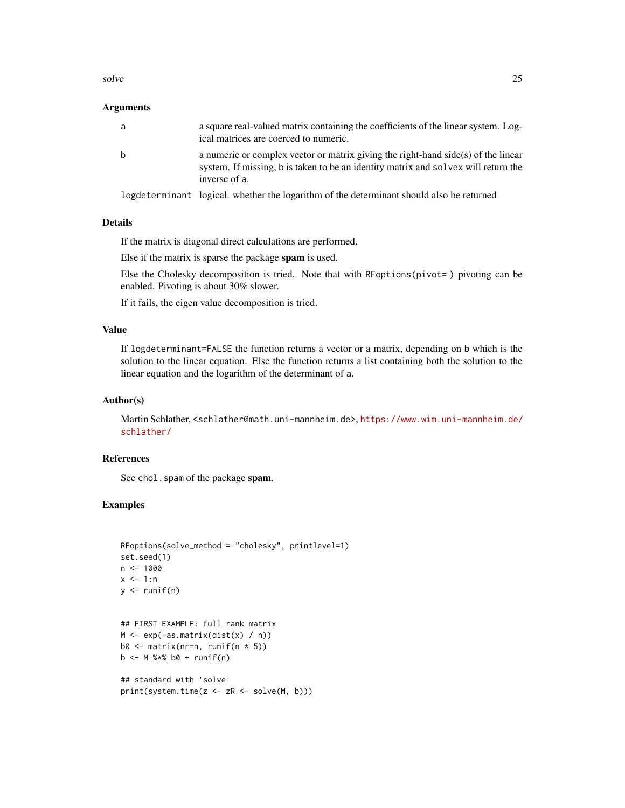#### solve 25

## **Arguments**

| a | a square real-valued matrix containing the coefficients of the linear system. Log-<br>ical matrices are coerced to numeric.                                                              |
|---|------------------------------------------------------------------------------------------------------------------------------------------------------------------------------------------|
| b | a numeric or complex vector or matrix giving the right-hand side(s) of the linear<br>system. If missing, b is taken to be an identity matrix and solvex will return the<br>inverse of a. |
|   | logdeterminant logical, whether the logarithm of the determinant should also be returned                                                                                                 |

# Details

If the matrix is diagonal direct calculations are performed.

Else if the matrix is sparse the package spam is used.

Else the Cholesky decomposition is tried. Note that with RFoptions(pivot= ) pivoting can be enabled. Pivoting is about 30% slower.

If it fails, the eigen value decomposition is tried.

# Value

If logdeterminant=FALSE the function returns a vector or a matrix, depending on b which is the solution to the linear equation. Else the function returns a list containing both the solution to the linear equation and the logarithm of the determinant of a.

#### Author(s)

Martin Schlather, <schlather@math.uni-mannheim.de>, [https://www.wim.uni-mannheim.de/](https://www.wim.uni-mannheim.de/schlather/) [schlather/](https://www.wim.uni-mannheim.de/schlather/)

# References

See chol. spam of the package spam.

```
RFoptions(solve_method = "cholesky", printlevel=1)
set.seed(1)
n <- 1000
x < -1:ny \leftarrow runif(n)## FIRST EXAMPLE: full rank matrix
M <- exp(-as.matrix(dist(x) / n))
b0 \leq - matrix(nr=n, runif(n * 5))
b \le -M %*% b0 + runif(n)
```

```
## standard with 'solve'
print(system.time(z <- zR <- solve(M, b)))
```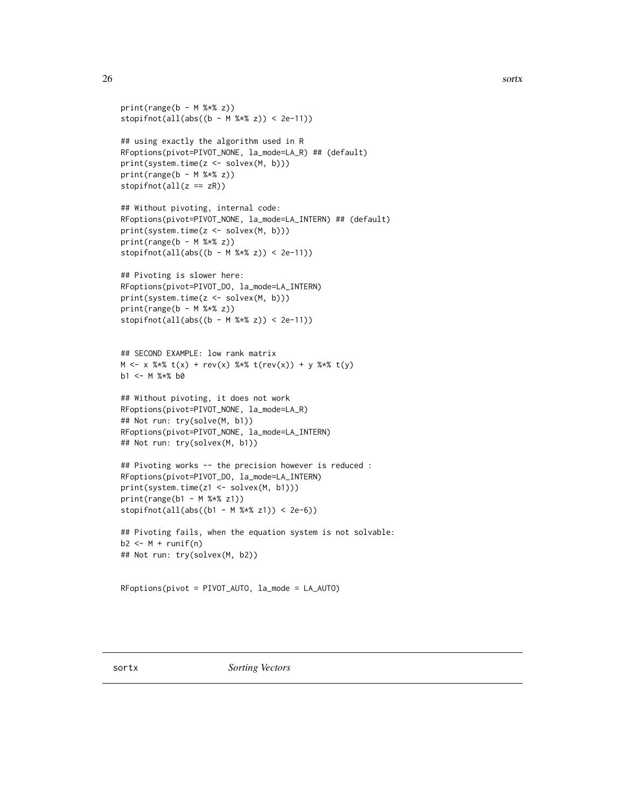```
print(range(b - M %*) z))
stopifnot(all(abs((b - M % x z)) < 2e-11))
```

```
## using exactly the algorithm used in R
RFoptions(pivot=PIVOT_NONE, la_mode=LA_R) ## (default)
print(system.time(z <- solvex(M, b)))
print(range(b - M %*) z))
stopifnot(all(z == zR))
```

```
## Without pivoting, internal code:
RFoptions(pivot=PIVOT_NONE, la_mode=LA_INTERN) ## (default)
print(system.time(z <- solvex(M, b)))
print(range(b - M %*) z))
stopifnot(all(abs((b - M % x z)) < 2e-11))
```

```
## Pivoting is slower here:
RFoptions(pivot=PIVOT_DO, la_mode=LA_INTERN)
print(system.time(z <- solvex(M, b)))
print(range(b - M %*% z))
stopifnot(all(abs((b - M % *( z)) < 2e-11))
```

```
## SECOND EXAMPLE: low rank matrix
M \le -x %*% t(x) + rev(x) %*% t(rev(x)) + y %*% t(y)
b1 <- M %*% b0
```

```
## Without pivoting, it does not work
RFoptions(pivot=PIVOT_NONE, la_mode=LA_R)
## Not run: try(solve(M, b1))
RFoptions(pivot=PIVOT_NONE, la_mode=LA_INTERN)
## Not run: try(solvex(M, b1))
```

```
## Pivoting works -- the precision however is reduced :
RFoptions(pivot=PIVOT_DO, la_mode=LA_INTERN)
print(system.time(z1 <- solvex(M, b1)))
print(range(b1 - M %*)21)stopifnot(all(abs((b1 - M % x z1)) < 2e-6))
```

```
## Pivoting fails, when the equation system is not solvable:
b2 \le -M + runif(n)## Not run: try(solvex(M, b2))
```

```
RFoptions(pivot = PIVOT_AUTO, la_mode = LA_AUTO)
```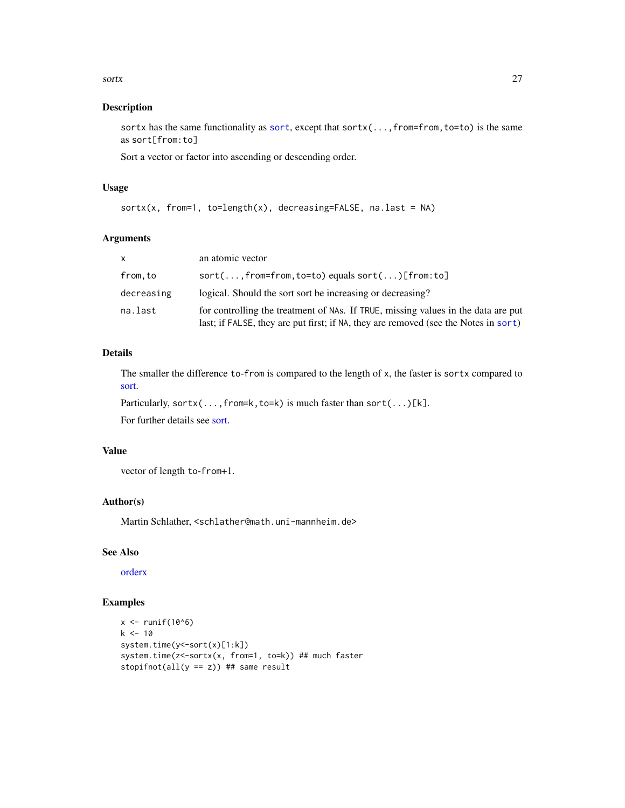#### <span id="page-26-0"></span>sortx 27

# Description

[sort](#page-0-0)x has the same functionality as sort, except that sortx(...,from=from,to=to) is the same as sort[from:to]

Sort a vector or factor into ascending or descending order.

# Usage

```
sortx(x, from=1, to=length(x), decreasing=FALSE, na.last = NA)
```
# Arguments

| $\times$   | an atomic vector                                                                                                                                                         |
|------------|--------------------------------------------------------------------------------------------------------------------------------------------------------------------------|
| from.to    | $sort( \ldots , from=from, to=to)$ equals $sort( \ldots )$ [from:to]                                                                                                     |
| decreasing | logical. Should the sort sort be increasing or decreasing?                                                                                                               |
| na.last    | for controlling the treatment of NAs. If TRUE, missing values in the data are put<br>last; if FALSE, they are put first; if NA, they are removed (see the Notes in sort) |

# Details

The smaller the difference to-from is compared to the length of x, the faster is sortx compared to [sort.](#page-0-0)

Particularly, sortx(...,from=k,to=k) is much faster than sort(...)[k].

For further details see [sort.](#page-0-0)

# Value

vector of length to-from+1.

# Author(s)

Martin Schlather, <schlather@math.uni-mannheim.de>

#### See Also

[orderx](#page-12-1)

```
x \leftarrow runif(10^6)k < -10system.time(y<-sort(x)[1:k])
system.time(z<-sortx(x, from=1, to=k)) ## much faster
stopifnot(all(y == z)) ## same result
```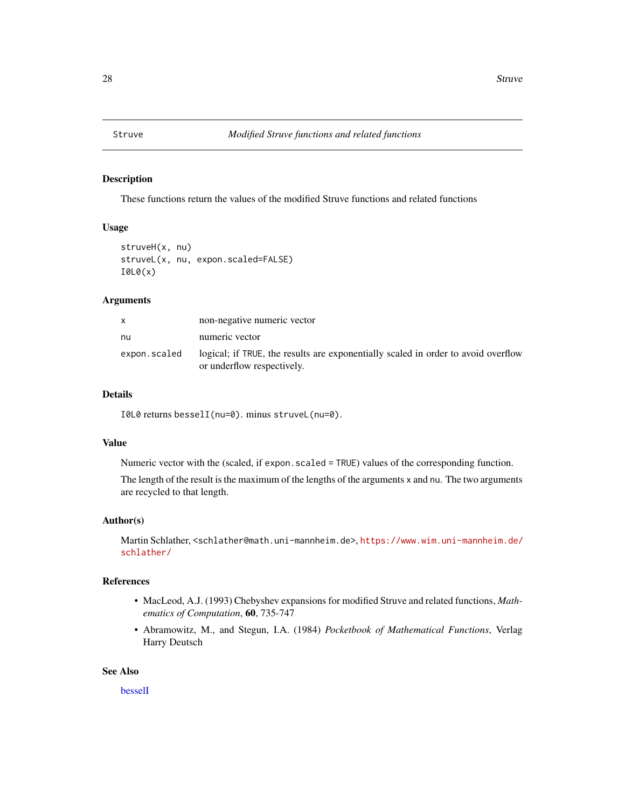<span id="page-27-0"></span>

# Description

These functions return the values of the modified Struve functions and related functions

#### Usage

```
struveH(x, nu)
struveL(x, nu, expon.scaled=FALSE)
I0L0(x)
```
# Arguments

| x            | non-negative numeric vector                                                                                     |
|--------------|-----------------------------------------------------------------------------------------------------------------|
| nu           | numeric vector                                                                                                  |
| expon.scaled | logical; if TRUE, the results are exponentially scaled in order to avoid overflow<br>or underflow respectively. |

# Details

I0L0 returns besselI(nu=0). minus struveL(nu=0).

# Value

Numeric vector with the (scaled, if expon.scaled = TRUE) values of the corresponding function.

The length of the result is the maximum of the lengths of the arguments x and nu. The two arguments are recycled to that length.

# Author(s)

Martin Schlather, <schlather@math.uni-mannheim.de>, [https://www.wim.uni-mannheim.de/](https://www.wim.uni-mannheim.de/schlather/) [schlather/](https://www.wim.uni-mannheim.de/schlather/)

# References

- MacLeod, A.J. (1993) Chebyshev expansions for modified Struve and related functions, *Mathematics of Computation*, 60, 735-747
- Abramowitz, M., and Stegun, I.A. (1984) *Pocketbook of Mathematical Functions*, Verlag Harry Deutsch

#### See Also

[besselI](#page-0-0)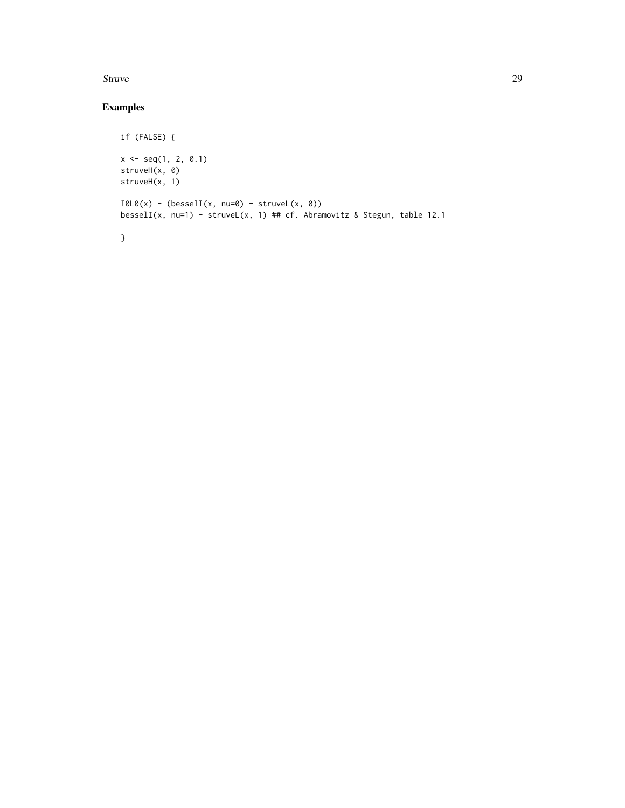#### Struve 29

```
if (FALSE) {
x \leq -\text{seq}(1, 2, 0.1)struveH(x, 0)
struveH(x, 1)
I0L0(x) - (besselI(x, nu=0) - struct(x, 0))besselI(x, nu=1) - struveL(x, 1) ## cf. Abramovitz & Stegun, table 12.1
}
```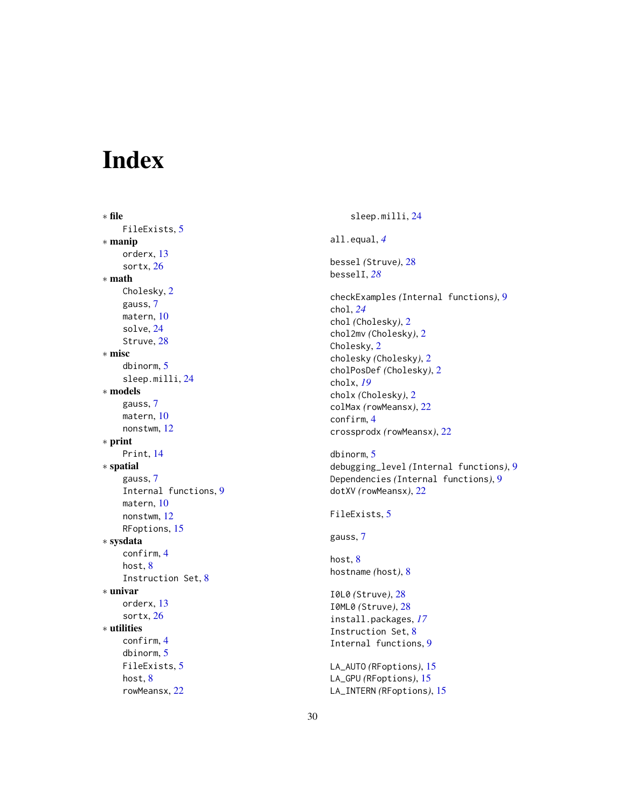# <span id="page-29-0"></span>Index

∗ file FileExists , [5](#page-4-0) ∗ manip orderx , [13](#page-12-0) sortx , [26](#page-25-0) ∗ math Cholesky , [2](#page-1-0) gauss , [7](#page-6-0) matern , [10](#page-9-0) solve , [24](#page-23-0) Struve, [28](#page-27-0) ∗ misc dbinorm , [5](#page-4-0) sleep.milli , [24](#page-23-0) ∗ models gauss , [7](#page-6-0) matern , [10](#page-9-0) nonstwm , [12](#page-11-0) ∗ print Print , [14](#page-13-0) ∗ spatial gauss , [7](#page-6-0) Internal functions , [9](#page-8-0) matern , [10](#page-9-0) nonstwm , [12](#page-11-0) RFoptions , [15](#page-14-0) ∗ sysdata confirm , [4](#page-3-0) host, [8](#page-7-0) Instruction Set , [8](#page-7-0) ∗ univar orderx , [13](#page-12-0) sortx , [26](#page-25-0) ∗ utilities confirm , [4](#page-3-0) dbinorm , [5](#page-4-0) FileExists , [5](#page-4-0) host, [8](#page-7-0) rowMeansx , [22](#page-21-0)

sleep.milli , [24](#page-23-0) all.equal , *[4](#page-3-0)* bessel *(*Struve *)* , [28](#page-27-0) besselI , *[28](#page-27-0)* checkExamples *(*Internal functions *)* , [9](#page-8-0) chol , *[24](#page-23-0)* chol *(*Cholesky *)* , [2](#page-1-0) chol2mv *(*Cholesky *)* , [2](#page-1-0) Cholesky , [2](#page-1-0) cholesky *(*Cholesky *)* , [2](#page-1-0) cholPosDef *(*Cholesky *)* , [2](#page-1-0) cholx , *[19](#page-18-0)* cholx *(*Cholesky *)* , [2](#page-1-0) colMax *(*rowMeansx *)* , [22](#page-21-0) confirm , [4](#page-3-0) crossprodx *(*rowMeansx *)* , [22](#page-21-0) dbinorm , [5](#page-4-0) debugging\_level *(*Internal functions *)* , [9](#page-8-0) Dependencies *(*Internal functions *)* , [9](#page-8-0) dotXV *(*rowMeansx *)* , [22](#page-21-0) FileExists, [5](#page-4-0) gauss , [7](#page-6-0) host , [8](#page-7-0) hostname *(*host *)* , [8](#page-7-0) I0L0 *(*Struve *)* , [28](#page-27-0) I0ML0 *(*Struve *)* , [28](#page-27-0) install.packages , *[17](#page-16-0)* Instruction Set, [8](#page-7-0) Internal functions , [9](#page-8-0) LA\_AUTO *(*RFoptions *)* , [15](#page-14-0) LA\_GPU *(*RFoptions *)* , [15](#page-14-0) LA\_INTERN *(*RFoptions *)* , [15](#page-14-0)